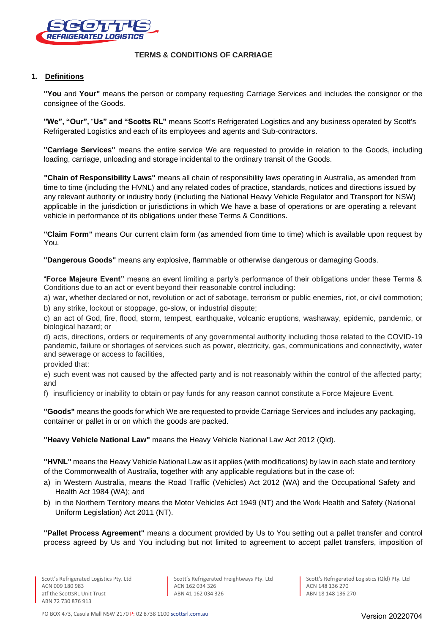

### **TERMS & CONDITIONS OF CARRIAGE**

## **1. Definitions**

**"You** and **Your"** means the person or company requesting Carriage Services and includes the consignor or the consignee of the Goods.

**"We", "Our",** "**Us" and "Scotts RL"** means Scott's Refrigerated Logistics and any business operated by Scott's Refrigerated Logistics and each of its employees and agents and Sub-contractors.

**"Carriage Services"** means the entire service We are requested to provide in relation to the Goods, including loading, carriage, unloading and storage incidental to the ordinary transit of the Goods.

**"Chain of Responsibility Laws"** means all chain of responsibility laws operating in Australia, as amended from time to time (including the HVNL) and any related codes of practice, standards, notices and directions issued by any relevant authority or industry body (including the National Heavy Vehicle Regulator and Transport for NSW) applicable in the jurisdiction or jurisdictions in which We have a base of operations or are operating a relevant vehicle in performance of its obligations under these Terms & Conditions.

**"Claim Form"** means Our current claim form (as amended from time to time) which is available upon request by You.

**"Dangerous Goods"** means any explosive, flammable or otherwise dangerous or damaging Goods.

"**Force Majeure Event"** means an event limiting a party's performance of their obligations under these Terms & Conditions due to an act or event beyond their reasonable control including:

a) war, whether declared or not, revolution or act of sabotage, terrorism or public enemies, riot, or civil commotion; b) any strike, lockout or stoppage, go-slow, or industrial dispute;

c) an act of God, fire, flood, storm, tempest, earthquake, volcanic eruptions, washaway, epidemic, pandemic, or biological hazard; or

d) acts, directions, orders or requirements of any governmental authority including those related to the COVID-19 pandemic, failure or shortages of services such as power, electricity, gas, communications and connectivity, water and sewerage or access to facilities,

provided that:

e) such event was not caused by the affected party and is not reasonably within the control of the affected party; and

f) insufficiency or inability to obtain or pay funds for any reason cannot constitute a Force Majeure Event.

**"Goods"** means the goods for which We are requested to provide Carriage Services and includes any packaging, container or pallet in or on which the goods are packed.

**"Heavy Vehicle National Law"** means the Heavy Vehicle National Law Act 2012 (Qld).

**"HVNL"** means the Heavy Vehicle National Law as it applies (with modifications) by law in each state and territory of the Commonwealth of Australia, together with any applicable regulations but in the case of:

- a) in Western Australia, means the Road Traffic (Vehicles) Act 2012 (WA) and the Occupational Safety and Health Act 1984 (WA); and
- b) in the Northern Territory means the Motor Vehicles Act 1949 (NT) and the Work Health and Safety (National Uniform Legislation) Act 2011 (NT).

**"Pallet Process Agreement"** means a document provided by Us to You setting out a pallet transfer and control process agreed by Us and You including but not limited to agreement to accept pallet transfers, imposition of

Scott's Refrigerated Freightways Pty. Ltd ACN 162 034 326 ABN 41 162 034 326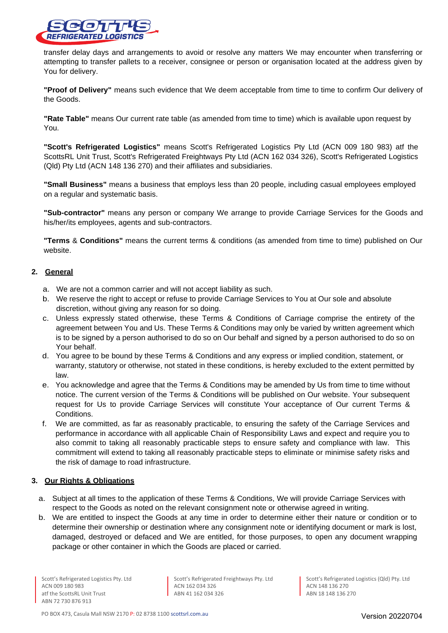

transfer delay days and arrangements to avoid or resolve any matters We may encounter when transferring or attempting to transfer pallets to a receiver, consignee or person or organisation located at the address given by You for delivery.

**"Proof of Delivery"** means such evidence that We deem acceptable from time to time to confirm Our delivery of the Goods.

**"Rate Table"** means Our current rate table (as amended from time to time) which is available upon request by You.

**"Scott's Refrigerated Logistics"** means Scott's Refrigerated Logistics Pty Ltd (ACN 009 180 983) atf the ScottsRL Unit Trust, Scott's Refrigerated Freightways Pty Ltd (ACN 162 034 326), Scott's Refrigerated Logistics (Qld) Pty Ltd (ACN 148 136 270) and their affiliates and subsidiaries.

**"Small Business"** means a business that employs less than 20 people, including casual employees employed on a regular and systematic basis.

**"Sub-contractor"** means any person or company We arrange to provide Carriage Services for the Goods and his/her/its employees, agents and sub-contractors.

**"Terms** & **Conditions"** means the current terms & conditions (as amended from time to time) published on Our website.

### **2. General**

- a. We are not a common carrier and will not accept liability as such.
- b. We reserve the right to accept or refuse to provide Carriage Services to You at Our sole and absolute discretion, without giving any reason for so doing.
- c. Unless expressly stated otherwise, these Terms & Conditions of Carriage comprise the entirety of the agreement between You and Us. These Terms & Conditions may only be varied by written agreement which is to be signed by a person authorised to do so on Our behalf and signed by a person authorised to do so on Your behalf.
- d. You agree to be bound by these Terms & Conditions and any express or implied condition, statement, or warranty, statutory or otherwise, not stated in these conditions, is hereby excluded to the extent permitted by law.
- e. You acknowledge and agree that the Terms & Conditions may be amended by Us from time to time without notice. The current version of the Terms & Conditions will be published on Our website. Your subsequent request for Us to provide Carriage Services will constitute Your acceptance of Our current Terms & Conditions.
- f. We are committed, as far as reasonably practicable, to ensuring the safety of the Carriage Services and performance in accordance with all applicable Chain of Responsibility Laws and expect and require you to also commit to taking all reasonably practicable steps to ensure safety and compliance with law. This commitment will extend to taking all reasonably practicable steps to eliminate or minimise safety risks and the risk of damage to road infrastructure.

#### **3. Our Rights & Obligations**

- a. Subject at all times to the application of these Terms & Conditions, We will provide Carriage Services with respect to the Goods as noted on the relevant consignment note or otherwise agreed in writing.
- b. We are entitled to inspect the Goods at any time in order to determine either their nature or condition or to determine their ownership or destination where any consignment note or identifying document or mark is lost, damaged, destroyed or defaced and We are entitled, for those purposes, to open any document wrapping package or other container in which the Goods are placed or carried.

Scott's Refrigerated Logistics Pty. Ltd ACN 009 180 983 atf the ScottsRL Unit Trust ABN 72 730 876 913

Scott's Refrigerated Freightways Pty. Ltd ACN 162 034 326 ABN 41 162 034 326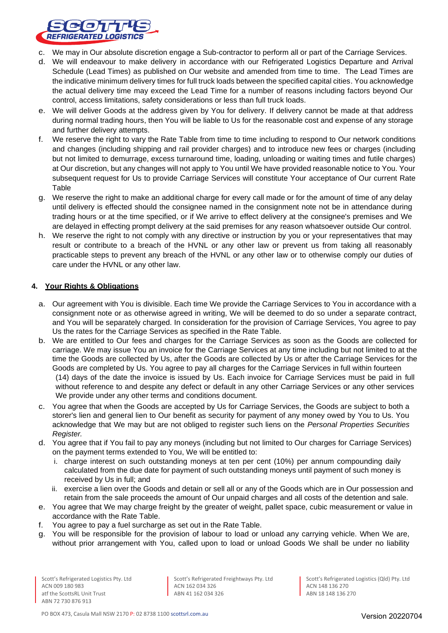

- c. We may in Our absolute discretion engage a Sub-contractor to perform all or part of the Carriage Services.
- d. We will endeavour to make delivery in accordance with our Refrigerated Logistics Departure and Arrival Schedule (Lead Times) as published on Our website and amended from time to time. The Lead Times are the indicative minimum delivery times for full truck loads between the specified capital cities. You acknowledge the actual delivery time may exceed the Lead Time for a number of reasons including factors beyond Our control, access limitations, safety considerations or less than full truck loads.
- e. We will deliver Goods at the address given by You for delivery. If delivery cannot be made at that address during normal trading hours, then You will be liable to Us for the reasonable cost and expense of any storage and further delivery attempts.
- f. We reserve the right to vary the Rate Table from time to time including to respond to Our network conditions and changes (including shipping and rail provider charges) and to introduce new fees or charges (including but not limited to demurrage, excess turnaround time, loading, unloading or waiting times and futile charges) at Our discretion, but any changes will not apply to You until We have provided reasonable notice to You. Your subsequent request for Us to provide Carriage Services will constitute Your acceptance of Our current Rate Table
- g. We reserve the right to make an additional charge for every call made or for the amount of time of any delay until delivery is effected should the consignee named in the consignment note not be in attendance during trading hours or at the time specified, or if We arrive to effect delivery at the consignee's premises and We are delayed in effecting prompt delivery at the said premises for any reason whatsoever outside Our control.
- h. We reserve the right to not comply with any directive or instruction by you or your representatives that may result or contribute to a breach of the HVNL or any other law or prevent us from taking all reasonably practicable steps to prevent any breach of the HVNL or any other law or to otherwise comply our duties of care under the HVNL or any other law.

## **4. Your Rights & Obligations**

- a. Our agreement with You is divisible. Each time We provide the Carriage Services to You in accordance with a consignment note or as otherwise agreed in writing, We will be deemed to do so under a separate contract, and You will be separately charged. In consideration for the provision of Carriage Services, You agree to pay Us the rates for the Carriage Services as specified in the Rate Table.
- b. We are entitled to Our fees and charges for the Carriage Services as soon as the Goods are collected for carriage. We may issue You an invoice for the Carriage Services at any time including but not limited to at the time the Goods are collected by Us, after the Goods are collected by Us or after the Carriage Services for the Goods are completed by Us. You agree to pay all charges for the Carriage Services in full within fourteen (14) days of the date the invoice is issued by Us. Each invoice for Carriage Services must be paid in full without reference to and despite any defect or default in any other Carriage Services or any other services We provide under any other terms and conditions document.
- c. You agree that when the Goods are accepted by Us for Carriage Services, the Goods are subject to both a storer's lien and general lien to Our benefit as security for payment of any money owed by You to Us. You acknowledge that We may but are not obliged to register such liens on the *Personal Properties Securities Register.*
- d. You agree that if You fail to pay any moneys (including but not limited to Our charges for Carriage Services) on the payment terms extended to You, We will be entitled to:
	- i. charge interest on such outstanding moneys at ten per cent (10%) per annum compounding daily calculated from the due date for payment of such outstanding moneys until payment of such money is received by Us in full; and
	- ii. exercise a lien over the Goods and detain or sell all or any of the Goods which are in Our possession and retain from the sale proceeds the amount of Our unpaid charges and all costs of the detention and sale.
- e. You agree that We may charge freight by the greater of weight, pallet space, cubic measurement or value in accordance with the Rate Table.
- f. You agree to pay a fuel surcharge as set out in the Rate Table.
- g. You will be responsible for the provision of labour to load or unload any carrying vehicle. When We are, without prior arrangement with You, called upon to load or unload Goods We shall be under no liability

Scott's Refrigerated Freightways Pty. Ltd ACN 162 034 326 ABN 41 162 034 326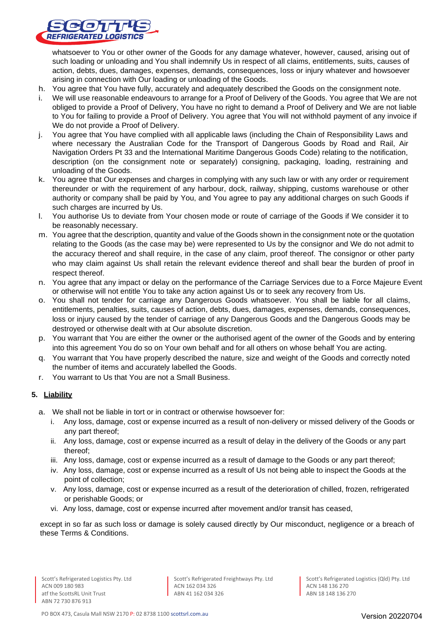

whatsoever to You or other owner of the Goods for any damage whatever, however, caused, arising out of such loading or unloading and You shall indemnify Us in respect of all claims, entitlements, suits, causes of action, debts, dues, damages, expenses, demands, consequences, loss or injury whatever and howsoever arising in connection with Our loading or unloading of the Goods.

- h. You agree that You have fully, accurately and adequately described the Goods on the consignment note.
- i. We will use reasonable endeavours to arrange for a Proof of Delivery of the Goods. You agree that We are not obliged to provide a Proof of Delivery, You have no right to demand a Proof of Delivery and We are not liable to You for failing to provide a Proof of Delivery. You agree that You will not withhold payment of any invoice if We do not provide a Proof of Delivery.
- j. You agree that You have complied with all applicable laws (including the Chain of Responsibility Laws and where necessary the Australian Code for the Transport of Dangerous Goods by Road and Rail, Air Navigation Orders Pt 33 and the International Maritime Dangerous Goods Code) relating to the notification, description (on the consignment note or separately) consigning, packaging, loading, restraining and unloading of the Goods.
- k. You agree that Our expenses and charges in complying with any such law or with any order or requirement thereunder or with the requirement of any harbour, dock, railway, shipping, customs warehouse or other authority or company shall be paid by You, and You agree to pay any additional charges on such Goods if such charges are incurred by Us.
- l. You authorise Us to deviate from Your chosen mode or route of carriage of the Goods if We consider it to be reasonably necessary.
- m. You agree that the description, quantity and value of the Goods shown in the consignment note or the quotation relating to the Goods (as the case may be) were represented to Us by the consignor and We do not admit to the accuracy thereof and shall require, in the case of any claim, proof thereof. The consignor or other party who may claim against Us shall retain the relevant evidence thereof and shall bear the burden of proof in respect thereof.
- n. You agree that any impact or delay on the performance of the Carriage Services due to a Force Majeure Event or otherwise will not entitle You to take any action against Us or to seek any recovery from Us.
- o. You shall not tender for carriage any Dangerous Goods whatsoever. You shall be liable for all claims, entitlements, penalties, suits, causes of action, debts, dues, damages, expenses, demands, consequences, loss or injury caused by the tender of carriage of any Dangerous Goods and the Dangerous Goods may be destroyed or otherwise dealt with at Our absolute discretion.
- p. You warrant that You are either the owner or the authorised agent of the owner of the Goods and by entering into this agreement You do so on Your own behalf and for all others on whose behalf You are acting.
- q. You warrant that You have properly described the nature, size and weight of the Goods and correctly noted the number of items and accurately labelled the Goods.
- r. You warrant to Us that You are not a Small Business.

# **5. Liability**

- a. We shall not be liable in tort or in contract or otherwise howsoever for:
	- i. Any loss, damage, cost or expense incurred as a result of non-delivery or missed delivery of the Goods or any part thereof;
	- ii. Any loss, damage, cost or expense incurred as a result of delay in the delivery of the Goods or any part thereof;
	- iii. Any loss, damage, cost or expense incurred as a result of damage to the Goods or any part thereof;
	- iv. Any loss, damage, cost or expense incurred as a result of Us not being able to inspect the Goods at the point of collection;
	- v. Any loss, damage, cost or expense incurred as a result of the deterioration of chilled, frozen, refrigerated or perishable Goods; or
	- vi. Any loss, damage, cost or expense incurred after movement and/or transit has ceased,

except in so far as such loss or damage is solely caused directly by Our misconduct, negligence or a breach of these Terms & Conditions.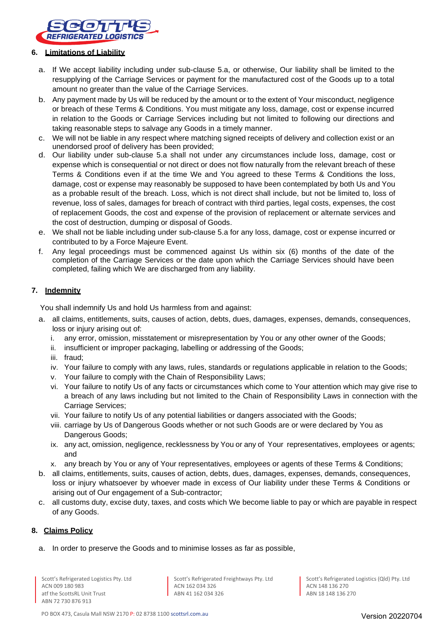

#### **6. Limitations of Liability**

- a. If We accept liability including under sub-clause 5.a, or otherwise, Our liability shall be limited to the resupplying of the Carriage Services or payment for the manufactured cost of the Goods up to a total amount no greater than the value of the Carriage Services.
- b. Any payment made by Us will be reduced by the amount or to the extent of Your misconduct, negligence or breach of these Terms & Conditions. You must mitigate any loss, damage, cost or expense incurred in relation to the Goods or Carriage Services including but not limited to following our directions and taking reasonable steps to salvage any Goods in a timely manner.
- c. We will not be liable in any respect where matching signed receipts of delivery and collection exist or an unendorsed proof of delivery has been provided;
- d. Our liability under sub-clause 5.a shall not under any circumstances include loss, damage, cost or expense which is consequential or not direct or does not flow naturally from the relevant breach of these Terms & Conditions even if at the time We and You agreed to these Terms & Conditions the loss, damage, cost or expense may reasonably be supposed to have been contemplated by both Us and You as a probable result of the breach. Loss, which is not direct shall include, but not be limited to, loss of revenue, loss of sales, damages for breach of contract with third parties, legal costs, expenses, the cost of replacement Goods, the cost and expense of the provision of replacement or alternate services and the cost of destruction, dumping or disposal of Goods.
- e. We shall not be liable including under sub-clause 5.a for any loss, damage, cost or expense incurred or contributed to by a Force Majeure Event.
- f. Any legal proceedings must be commenced against Us within six (6) months of the date of the completion of the Carriage Services or the date upon which the Carriage Services should have been completed, failing which We are discharged from any liability.

## **7. Indemnity**

You shall indemnify Us and hold Us harmless from and against:

- a. all claims, entitlements, suits, causes of action, debts, dues, damages, expenses, demands, consequences, loss or injury arising out of:
	- i. any error, omission, misstatement or misrepresentation by You or any other owner of the Goods;
	- ii. insufficient or improper packaging, labelling or addressing of the Goods;
	- iii. fraud;
	- iv. Your failure to comply with any laws, rules, standards or regulations applicable in relation to the Goods;
	- v. Your failure to comply with the Chain of Responsibility Laws;
	- vi. Your failure to notify Us of any facts or circumstances which come to Your attention which may give rise to a breach of any laws including but not limited to the Chain of Responsibility Laws in connection with the Carriage Services;
	- vii. Your failure to notify Us of any potential liabilities or dangers associated with the Goods;
	- viii. carriage by Us of Dangerous Goods whether or not such Goods are or were declared by You as Dangerous Goods;
	- ix. any act, omission, negligence, recklessness by You or any of Your representatives, employees or agents; and
	- x. any breach by You or any of Your representatives, employees or agents of these Terms & Conditions;
- b. all claims, entitlements, suits, causes of action, debts, dues, damages, expenses, demands, consequences, loss or injury whatsoever by whoever made in excess of Our liability under these Terms & Conditions or arising out of Our engagement of a Sub-contractor;
- c. all customs duty, excise duty, taxes, and costs which We become liable to pay or which are payable in respect of any Goods.

### **8. Claims Policy**

a. In order to preserve the Goods and to minimise losses as far as possible,

Scott's Refrigerated Freightways Pty. Ltd ACN 162 034 326 ABN 41 162 034 326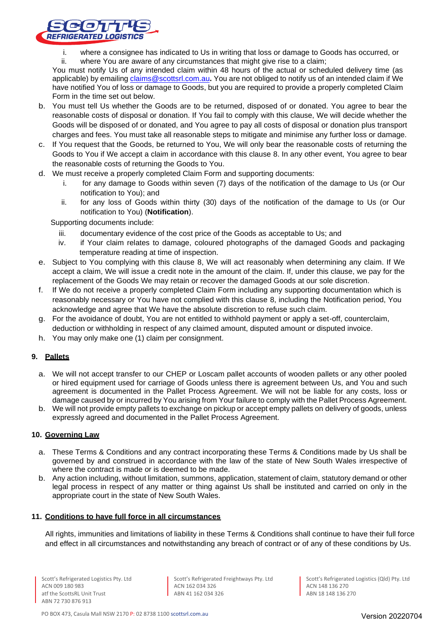

- i. where a consignee has indicated to Us in writing that loss or damage to Goods has occurred, or<br>ii. where You are aware of any circumstances that might give rise to a claim:
	- where You are aware of any circumstances that might give rise to a claim;

You must notify Us of any intended claim within 48 hours of the actual or scheduled delivery time (as applicable) by emailing [claims@scottsrl.com.au](mailto:claims@scottsrl.com.au)**.** You are not obliged to notify us of an intended claim if We have notified You of loss or damage to Goods, but you are required to provide a properly completed Claim Form in the time set out below.

- b. You must tell Us whether the Goods are to be returned, disposed of or donated. You agree to bear the reasonable costs of disposal or donation. If You fail to comply with this clause, We will decide whether the Goods will be disposed of or donated, and You agree to pay all costs of disposal or donation plus transport charges and fees. You must take all reasonable steps to mitigate and minimise any further loss or damage.
- c. If You request that the Goods, be returned to You, We will only bear the reasonable costs of returning the Goods to You if We accept a claim in accordance with this clause 8. In any other event, You agree to bear the reasonable costs of returning the Goods to You.
- d. We must receive a properly completed Claim Form and supporting documents:
	- i. for any damage to Goods within seven (7) days of the notification of the damage to Us (or Our notification to You); and
	- ii. for any loss of Goods within thirty (30) days of the notification of the damage to Us (or Our notification to You) (**Notification**).

Supporting documents include:

- iii. documentary evidence of the cost price of the Goods as acceptable to Us; and
- iv. if Your claim relates to damage, coloured photographs of the damaged Goods and packaging temperature reading at time of inspection.
- e. Subject to You complying with this clause 8, We will act reasonably when determining any claim. If We accept a claim, We will issue a credit note in the amount of the claim. If, under this clause, we pay for the replacement of the Goods We may retain or recover the damaged Goods at our sole discretion.
- f. If We do not receive a properly completed Claim Form including any supporting documentation which is reasonably necessary or You have not complied with this clause 8, including the Notification period, You acknowledge and agree that We have the absolute discretion to refuse such claim.
- g. For the avoidance of doubt, You are not entitled to withhold payment or apply a set-off, counterclaim, deduction or withholding in respect of any claimed amount, disputed amount or disputed invoice.
- h. You may only make one (1) claim per consignment.

# **9. Pallets**

- a. We will not accept transfer to our CHEP or Loscam pallet accounts of wooden pallets or any other pooled or hired equipment used for carriage of Goods unless there is agreement between Us, and You and such agreement is documented in the Pallet Process Agreement. We will not be liable for any costs, loss or damage caused by or incurred by You arising from Your failure to comply with the Pallet Process Agreement.
- b. We will not provide empty pallets to exchange on pickup or accept empty pallets on delivery of goods, unless expressly agreed and documented in the Pallet Process Agreement.

### **10. Governing Law**

- a. These Terms & Conditions and any contract incorporating these Terms & Conditions made by Us shall be governed by and construed in accordance with the law of the state of New South Wales irrespective of where the contract is made or is deemed to be made.
- b. Any action including, without limitation, summons, application, statement of claim, statutory demand or other legal process in respect of any matter or thing against Us shall be instituted and carried on only in the appropriate court in the state of New South Wales.

#### **11. Conditions to have full force in all circumstances**

All rights, immunities and limitations of liability in these Terms & Conditions shall continue to have their full force and effect in all circumstances and notwithstanding any breach of contract or of any of these conditions by Us.

Scott's Refrigerated Freightways Pty. Ltd ACN 162 034 326 ABN 41 162 034 326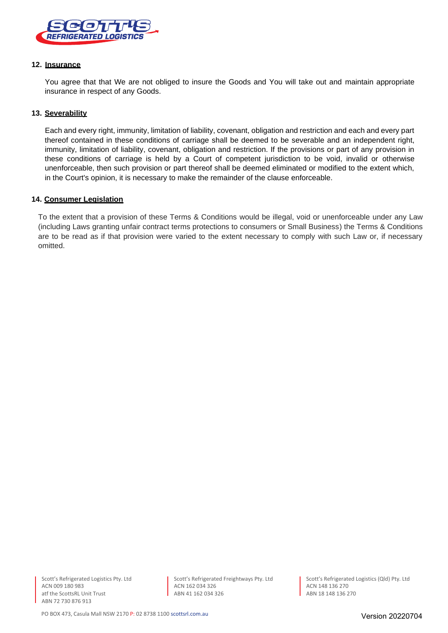

### **12. Insurance**

You agree that that We are not obliged to insure the Goods and You will take out and maintain appropriate insurance in respect of any Goods.

#### **13. Severability**

Each and every right, immunity, limitation of liability, covenant, obligation and restriction and each and every part thereof contained in these conditions of carriage shall be deemed to be severable and an independent right, immunity, limitation of liability, covenant, obligation and restriction. If the provisions or part of any provision in these conditions of carriage is held by a Court of competent jurisdiction to be void, invalid or otherwise unenforceable, then such provision or part thereof shall be deemed eliminated or modified to the extent which, in the Court's opinion, it is necessary to make the remainder of the clause enforceable.

#### **14. Consumer Legislation**

To the extent that a provision of these Terms & Conditions would be illegal, void or unenforceable under any Law (including Laws granting unfair contract terms protections to consumers or Small Business) the Terms & Conditions are to be read as if that provision were varied to the extent necessary to comply with such Law or, if necessary omitted.

Scott's Refrigerated Freightways Pty. Ltd ACN 162 034 326 ABN 41 162 034 326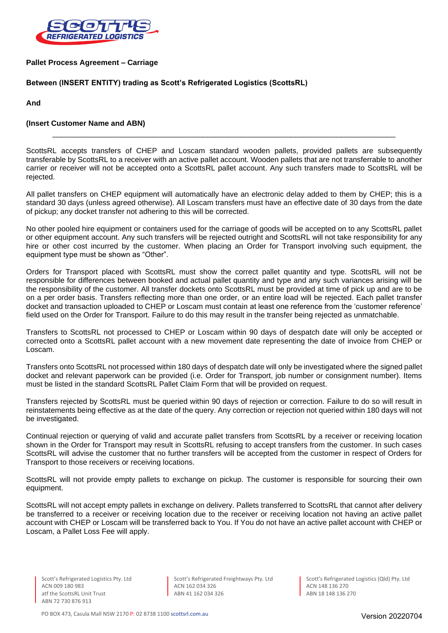

**Pallet Process Agreement – Carriage**

### **Between (INSERT ENTITY) trading as Scott's Refrigerated Logistics (ScottsRL)**

**And**

#### **(Insert Customer Name and ABN)**

ScottsRL accepts transfers of CHEP and Loscam standard wooden pallets, provided pallets are subsequently transferable by ScottsRL to a receiver with an active pallet account. Wooden pallets that are not transferrable to another carrier or receiver will not be accepted onto a ScottsRL pallet account. Any such transfers made to ScottsRL will be rejected.

\_\_\_\_\_\_\_\_\_\_\_\_\_\_\_\_\_\_\_\_\_\_\_\_\_\_\_\_\_\_\_\_\_\_\_\_\_\_\_\_\_\_\_\_\_\_\_\_\_\_\_\_\_\_\_\_\_\_\_\_\_\_\_\_\_\_\_\_\_\_\_\_\_\_\_\_\_\_\_\_\_\_

All pallet transfers on CHEP equipment will automatically have an electronic delay added to them by CHEP; this is a standard 30 days (unless agreed otherwise). All Loscam transfers must have an effective date of 30 days from the date of pickup; any docket transfer not adhering to this will be corrected.

No other pooled hire equipment or containers used for the carriage of goods will be accepted on to any ScottsRL pallet or other equipment account. Any such transfers will be rejected outright and ScottsRL will not take responsibility for any hire or other cost incurred by the customer. When placing an Order for Transport involving such equipment, the equipment type must be shown as "Other".

Orders for Transport placed with ScottsRL must show the correct pallet quantity and type. ScottsRL will not be responsible for differences between booked and actual pallet quantity and type and any such variances arising will be the responsibility of the customer. All transfer dockets onto ScottsRL must be provided at time of pick up and are to be on a per order basis. Transfers reflecting more than one order, or an entire load will be rejected. Each pallet transfer docket and transaction uploaded to CHEP or Loscam must contain at least one reference from the 'customer reference' field used on the Order for Transport. Failure to do this may result in the transfer being rejected as unmatchable.

Transfers to ScottsRL not processed to CHEP or Loscam within 90 days of despatch date will only be accepted or corrected onto a ScottsRL pallet account with a new movement date representing the date of invoice from CHEP or Loscam.

Transfers onto ScottsRL not processed within 180 days of despatch date will only be investigated where the signed pallet docket and relevant paperwork can be provided (i.e. Order for Transport, job number or consignment number). Items must be listed in the standard ScottsRL Pallet Claim Form that will be provided on request.

Transfers rejected by ScottsRL must be queried within 90 days of rejection or correction. Failure to do so will result in reinstatements being effective as at the date of the query. Any correction or rejection not queried within 180 days will not be investigated.

Continual rejection or querying of valid and accurate pallet transfers from ScottsRL by a receiver or receiving location shown in the Order for Transport may result in ScottsRL refusing to accept transfers from the customer. In such cases ScottsRL will advise the customer that no further transfers will be accepted from the customer in respect of Orders for Transport to those receivers or receiving locations.

ScottsRL will not provide empty pallets to exchange on pickup. The customer is responsible for sourcing their own equipment.

ScottsRL will not accept empty pallets in exchange on delivery. Pallets transferred to ScottsRL that cannot after delivery be transferred to a receiver or receiving location due to the receiver or receiving location not having an active pallet account with CHEP or Loscam will be transferred back to You. If You do not have an active pallet account with CHEP or Loscam, a Pallet Loss Fee will apply.

Scott's Refrigerated Freightways Pty. Ltd ACN 162 034 326 ABN 41 162 034 326